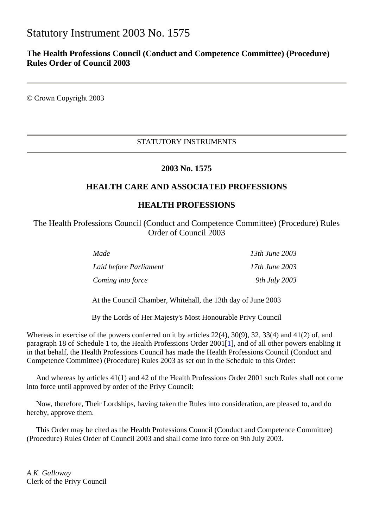# Statutory Instrument 2003 No. 1575

# **The Health Professions Council (Conduct and Competence Committee) (Procedure) Rules Order of Council 2003**

© Crown Copyright 2003

# STATUTORY INSTRUMENTS

# **2003 No. 1575**

# **HEALTH CARE AND ASSOCIATED PROFESSIONS**

# **HEALTH PROFESSIONS**

The Health Professions Council (Conduct and Competence Committee) (Procedure) Rules Order of Council 2003

| Made                   | 13th June 2003 |
|------------------------|----------------|
| Laid before Parliament | 17th June 2003 |
| Coming into force      | 9th July 2003  |

At the Council Chamber, Whitehall, the 13th day of June 2003

By the Lords of Her Majesty's Most Honourable Privy Council

Whereas in exercise of the powers conferred on it by articles 22(4), 30(9), 32, 33(4) and 41(2) of, and paragraph 18 of Schedule 1 to, the Health Professions Order 2001[1], and of all other powers enabling it in that behalf, the Health Professions Council has made the Health Professions Council (Conduct and Competence Committee) (Procedure) Rules 2003 as set out in the Schedule to this Order:

 And whereas by articles 41(1) and 42 of the Health Professions Order 2001 such Rules shall not come into force until approved by order of the Privy Council:

 Now, therefore, Their Lordships, having taken the Rules into consideration, are pleased to, and do hereby, approve them.

 This Order may be cited as the Health Professions Council (Conduct and Competence Committee) (Procedure) Rules Order of Council 2003 and shall come into force on 9th July 2003.

*A.K. Galloway* Clerk of the Privy Council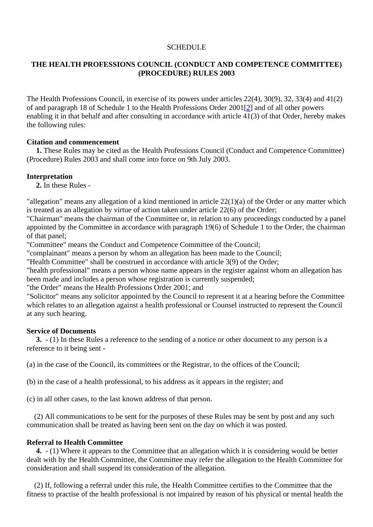## **SCHEDULE**

# **THE HEALTH PROFESSIONS COUNCIL (CONDUCT AND COMPETENCE COMMITTEE) (PROCEDURE) RULES 2003**

The Health Professions Council, in exercise of its powers under articles 22(4), 30(9), 32, 33(4) and 41(2) of and paragraph 18 of Schedule 1 to the Health Professions Order 2001[2] and of all other powers enabling it in that behalf and after consulting in accordance with article 41(3) of that Order, hereby makes the following rules:

#### **Citation and commencement**

 **1.** These Rules may be cited as the Health Professions Council (Conduct and Competence Committee) (Procedure) Rules 2003 and shall come into force on 9th July 2003.

## **Interpretation**

**2.** In these Rules -

"allegation" means any allegation of a kind mentioned in article 22(1)(a) of the Order or any matter which is treated as an allegation by virtue of action taken under article 22(6) of the Order;

"Chairman" means the chairman of the Committee or, in relation to any proceedings conducted by a panel appointed by the Committee in accordance with paragraph 19(6) of Schedule 1 to the Order, the chairman of that panel;

"Committee" means the Conduct and Competence Committee of the Council;

"complainant" means a person by whom an allegation has been made to the Council;

"Health Committee" shall be construed in accordance with article 3(9) of the Order;

"health professional" means a person whose name appears in the register against whom an allegation has been made and includes a person whose registration is currently suspended;

"the Order" means the Health Professions Order 2001; and

"Solicitor" means any solicitor appointed by the Council to represent it at a hearing before the Committee which relates to an allegation against a health professional or Counsel instructed to represent the Council at any such hearing.

#### **Service of Documents**

 **3.** - (1) In these Rules a reference to the sending of a notice or other document to any person is a reference to it being sent -

(a) in the case of the Council, its committees or the Registrar, to the offices of the Council;

(b) in the case of a health professional, to his address as it appears in the register; and

(c) in all other cases, to the last known address of that person.

 (2) All communications to be sent for the purposes of these Rules may be sent by post and any such communication shall be treated as having been sent on the day on which it was posted.

## **Referral to Health Committee**

 **4.** - (1) Where it appears to the Committee that an allegation which it is considering would be better dealt with by the Health Committee, the Committee may refer the allegation to the Health Committee for consideration and shall suspend its consideration of the allegation.

 (2) If, following a referral under this rule, the Health Committee certifies to the Committee that the fitness to practise of the health professional is not impaired by reason of his physical or mental health the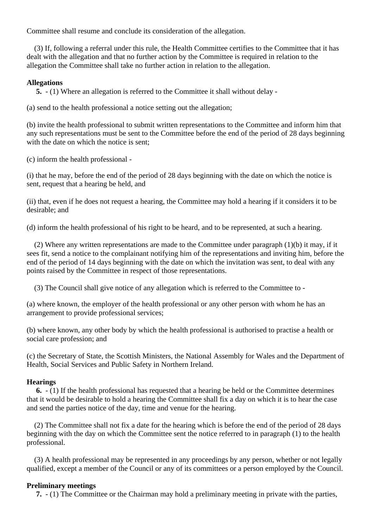Committee shall resume and conclude its consideration of the allegation.

 (3) If, following a referral under this rule, the Health Committee certifies to the Committee that it has dealt with the allegation and that no further action by the Committee is required in relation to the allegation the Committee shall take no further action in relation to the allegation.

## **Allegations**

**5.** - (1) Where an allegation is referred to the Committee it shall without delay -

(a) send to the health professional a notice setting out the allegation;

(b) invite the health professional to submit written representations to the Committee and inform him that any such representations must be sent to the Committee before the end of the period of 28 days beginning with the date on which the notice is sent;

(c) inform the health professional -

(i) that he may, before the end of the period of 28 days beginning with the date on which the notice is sent, request that a hearing be held, and

(ii) that, even if he does not request a hearing, the Committee may hold a hearing if it considers it to be desirable; and

(d) inform the health professional of his right to be heard, and to be represented, at such a hearing.

 (2) Where any written representations are made to the Committee under paragraph (1)(b) it may, if it sees fit, send a notice to the complainant notifying him of the representations and inviting him, before the end of the period of 14 days beginning with the date on which the invitation was sent, to deal with any points raised by the Committee in respect of those representations.

(3) The Council shall give notice of any allegation which is referred to the Committee to -

(a) where known, the employer of the health professional or any other person with whom he has an arrangement to provide professional services;

(b) where known, any other body by which the health professional is authorised to practise a health or social care profession; and

(c) the Secretary of State, the Scottish Ministers, the National Assembly for Wales and the Department of Health, Social Services and Public Safety in Northern Ireland.

#### **Hearings**

 **6.** - (1) If the health professional has requested that a hearing be held or the Committee determines that it would be desirable to hold a hearing the Committee shall fix a day on which it is to hear the case and send the parties notice of the day, time and venue for the hearing.

 (2) The Committee shall not fix a date for the hearing which is before the end of the period of 28 days beginning with the day on which the Committee sent the notice referred to in paragraph (1) to the health professional.

 (3) A health professional may be represented in any proceedings by any person, whether or not legally qualified, except a member of the Council or any of its committees or a person employed by the Council.

#### **Preliminary meetings**

**7.** - (1) The Committee or the Chairman may hold a preliminary meeting in private with the parties,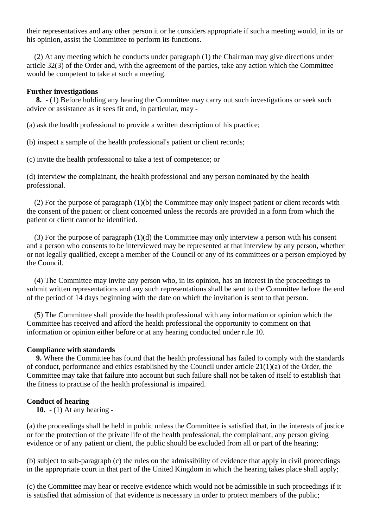their representatives and any other person it or he considers appropriate if such a meeting would, in its or his opinion, assist the Committee to perform its functions.

 (2) At any meeting which he conducts under paragraph (1) the Chairman may give directions under article 32(3) of the Order and, with the agreement of the parties, take any action which the Committee would be competent to take at such a meeting.

#### **Further investigations**

 **8.** - (1) Before holding any hearing the Committee may carry out such investigations or seek such advice or assistance as it sees fit and, in particular, may -

(a) ask the health professional to provide a written description of his practice;

(b) inspect a sample of the health professional's patient or client records;

(c) invite the health professional to take a test of competence; or

(d) interview the complainant, the health professional and any person nominated by the health professional.

 (2) For the purpose of paragraph (1)(b) the Committee may only inspect patient or client records with the consent of the patient or client concerned unless the records are provided in a form from which the patient or client cannot be identified.

 (3) For the purpose of paragraph (1)(d) the Committee may only interview a person with his consent and a person who consents to be interviewed may be represented at that interview by any person, whether or not legally qualified, except a member of the Council or any of its committees or a person employed by the Council.

 (4) The Committee may invite any person who, in its opinion, has an interest in the proceedings to submit written representations and any such representations shall be sent to the Committee before the end of the period of 14 days beginning with the date on which the invitation is sent to that person.

 (5) The Committee shall provide the health professional with any information or opinion which the Committee has received and afford the health professional the opportunity to comment on that information or opinion either before or at any hearing conducted under rule 10.

#### **Compliance with standards**

 **9.** Where the Committee has found that the health professional has failed to comply with the standards of conduct, performance and ethics established by the Council under article 21(1)(a) of the Order, the Committee may take that failure into account but such failure shall not be taken of itself to establish that the fitness to practise of the health professional is impaired.

# **Conduct of hearing**

**10.** - (1) At any hearing -

(a) the proceedings shall be held in public unless the Committee is satisfied that, in the interests of justice or for the protection of the private life of the health professional, the complainant, any person giving evidence or of any patient or client, the public should be excluded from all or part of the hearing;

(b) subject to sub-paragraph (c) the rules on the admissibility of evidence that apply in civil proceedings in the appropriate court in that part of the United Kingdom in which the hearing takes place shall apply;

(c) the Committee may hear or receive evidence which would not be admissible in such proceedings if it is satisfied that admission of that evidence is necessary in order to protect members of the public;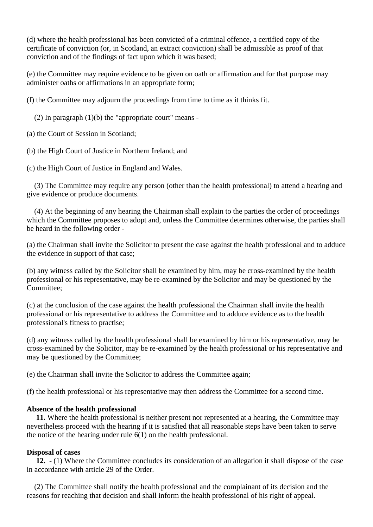(d) where the health professional has been convicted of a criminal offence, a certified copy of the certificate of conviction (or, in Scotland, an extract conviction) shall be admissible as proof of that conviction and of the findings of fact upon which it was based;

(e) the Committee may require evidence to be given on oath or affirmation and for that purpose may administer oaths or affirmations in an appropriate form;

(f) the Committee may adjourn the proceedings from time to time as it thinks fit.

(2) In paragraph  $(1)(b)$  the "appropriate court" means -

(a) the Court of Session in Scotland;

(b) the High Court of Justice in Northern Ireland; and

(c) the High Court of Justice in England and Wales.

 (3) The Committee may require any person (other than the health professional) to attend a hearing and give evidence or produce documents.

 (4) At the beginning of any hearing the Chairman shall explain to the parties the order of proceedings which the Committee proposes to adopt and, unless the Committee determines otherwise, the parties shall be heard in the following order -

(a) the Chairman shall invite the Solicitor to present the case against the health professional and to adduce the evidence in support of that case;

(b) any witness called by the Solicitor shall be examined by him, may be cross-examined by the health professional or his representative, may be re-examined by the Solicitor and may be questioned by the Committee;

(c) at the conclusion of the case against the health professional the Chairman shall invite the health professional or his representative to address the Committee and to adduce evidence as to the health professional's fitness to practise;

(d) any witness called by the health professional shall be examined by him or his representative, may be cross-examined by the Solicitor, may be re-examined by the health professional or his representative and may be questioned by the Committee;

(e) the Chairman shall invite the Solicitor to address the Committee again;

(f) the health professional or his representative may then address the Committee for a second time.

# **Absence of the health professional**

 **11.** Where the health professional is neither present nor represented at a hearing, the Committee may nevertheless proceed with the hearing if it is satisfied that all reasonable steps have been taken to serve the notice of the hearing under rule 6(1) on the health professional.

# **Disposal of cases**

 **12.** - (1) Where the Committee concludes its consideration of an allegation it shall dispose of the case in accordance with article 29 of the Order.

 (2) The Committee shall notify the health professional and the complainant of its decision and the reasons for reaching that decision and shall inform the health professional of his right of appeal.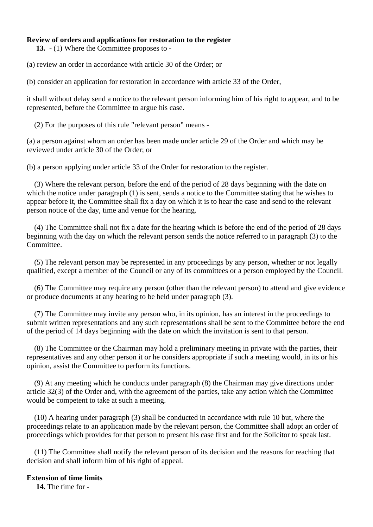# **Review of orders and applications for restoration to the register**

**13.** - (1) Where the Committee proposes to -

(a) review an order in accordance with article 30 of the Order; or

(b) consider an application for restoration in accordance with article 33 of the Order,

it shall without delay send a notice to the relevant person informing him of his right to appear, and to be represented, before the Committee to argue his case.

(2) For the purposes of this rule "relevant person" means -

(a) a person against whom an order has been made under article 29 of the Order and which may be reviewed under article 30 of the Order; or

(b) a person applying under article 33 of the Order for restoration to the register.

 (3) Where the relevant person, before the end of the period of 28 days beginning with the date on which the notice under paragraph (1) is sent, sends a notice to the Committee stating that he wishes to appear before it, the Committee shall fix a day on which it is to hear the case and send to the relevant person notice of the day, time and venue for the hearing.

 (4) The Committee shall not fix a date for the hearing which is before the end of the period of 28 days beginning with the day on which the relevant person sends the notice referred to in paragraph (3) to the Committee.

 (5) The relevant person may be represented in any proceedings by any person, whether or not legally qualified, except a member of the Council or any of its committees or a person employed by the Council.

 (6) The Committee may require any person (other than the relevant person) to attend and give evidence or produce documents at any hearing to be held under paragraph (3).

 (7) The Committee may invite any person who, in its opinion, has an interest in the proceedings to submit written representations and any such representations shall be sent to the Committee before the end of the period of 14 days beginning with the date on which the invitation is sent to that person.

 (8) The Committee or the Chairman may hold a preliminary meeting in private with the parties, their representatives and any other person it or he considers appropriate if such a meeting would, in its or his opinion, assist the Committee to perform its functions.

 (9) At any meeting which he conducts under paragraph (8) the Chairman may give directions under article 32(3) of the Order and, with the agreement of the parties, take any action which the Committee would be competent to take at such a meeting.

 (10) A hearing under paragraph (3) shall be conducted in accordance with rule 10 but, where the proceedings relate to an application made by the relevant person, the Committee shall adopt an order of proceedings which provides for that person to present his case first and for the Solicitor to speak last.

 (11) The Committee shall notify the relevant person of its decision and the reasons for reaching that decision and shall inform him of his right of appeal.

#### **Extension of time limits**

**14.** The time for -